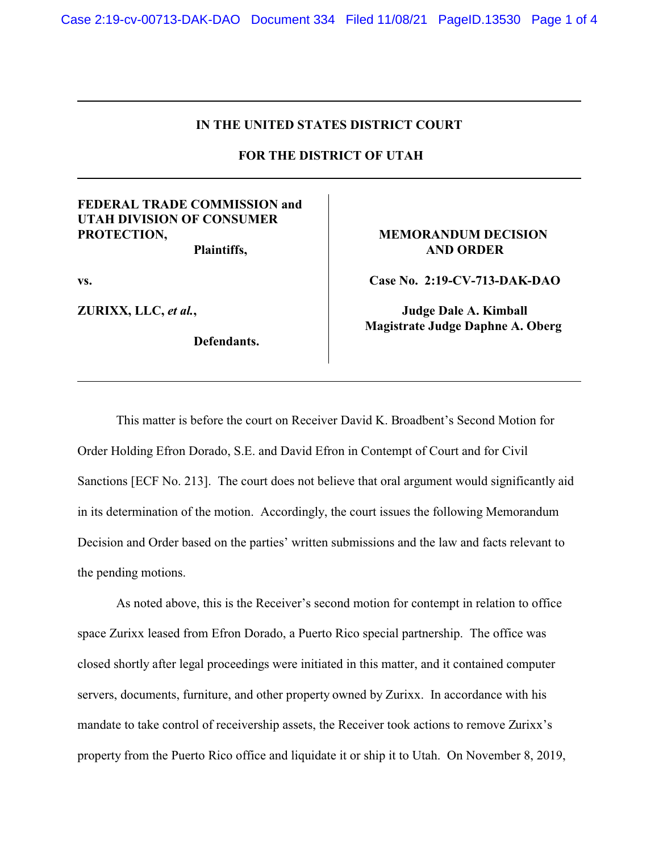## **IN THE UNITED STATES DISTRICT COURT**

 **FOR THE DISTRICT OF UTAH**

## **FEDERAL TRADE COMMISSION and UTAH DIVISION OF CONSUMER PROTECTION,**

**Plaintiffs,**

**vs.**

**ZURIXX, LLC,** *et al.***,** 

**Defendants.** 

## **MEMORANDUM DECISION AND ORDER**

**Case No. 2:19-CV-713-DAK-DAO**

**Judge Dale A. Kimball Magistrate Judge Daphne A. Oberg** 

This matter is before the court on Receiver David K. Broadbent's Second Motion for Order Holding Efron Dorado, S.E. and David Efron in Contempt of Court and for Civil Sanctions [ECF No. 213]. The court does not believe that oral argument would significantly aid in its determination of the motion. Accordingly, the court issues the following Memorandum Decision and Order based on the parties' written submissions and the law and facts relevant to the pending motions.

As noted above, this is the Receiver's second motion for contempt in relation to office space Zurixx leased from Efron Dorado, a Puerto Rico special partnership. The office was closed shortly after legal proceedings were initiated in this matter, and it contained computer servers, documents, furniture, and other property owned by Zurixx. In accordance with his mandate to take control of receivership assets, the Receiver took actions to remove Zurixx's property from the Puerto Rico office and liquidate it or ship it to Utah. On November 8, 2019,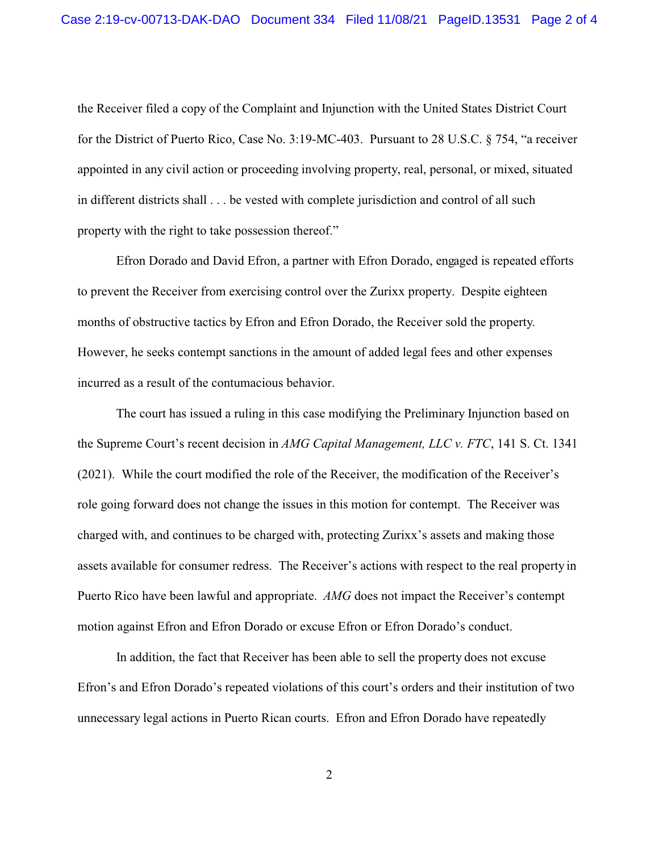the Receiver filed a copy of the Complaint and Injunction with the United States District Court for the District of Puerto Rico, Case No. 3:19-MC-403. Pursuant to 28 U.S.C. § 754, "a receiver appointed in any civil action or proceeding involving property, real, personal, or mixed, situated in different districts shall . . . be vested with complete jurisdiction and control of all such property with the right to take possession thereof."

Efron Dorado and David Efron, a partner with Efron Dorado, engaged is repeated efforts to prevent the Receiver from exercising control over the Zurixx property. Despite eighteen months of obstructive tactics by Efron and Efron Dorado, the Receiver sold the property. However, he seeks contempt sanctions in the amount of added legal fees and other expenses incurred as a result of the contumacious behavior.

The court has issued a ruling in this case modifying the Preliminary Injunction based on the Supreme Court's recent decision in *AMG Capital Management, LLC v. FTC*, 141 S. Ct. 1341 (2021). While the court modified the role of the Receiver, the modification of the Receiver's role going forward does not change the issues in this motion for contempt. The Receiver was charged with, and continues to be charged with, protecting Zurixx's assets and making those assets available for consumer redress. The Receiver's actions with respect to the real property in Puerto Rico have been lawful and appropriate. *AMG* does not impact the Receiver's contempt motion against Efron and Efron Dorado or excuse Efron or Efron Dorado's conduct.

In addition, the fact that Receiver has been able to sell the property does not excuse Efron's and Efron Dorado's repeated violations of this court's orders and their institution of two unnecessary legal actions in Puerto Rican courts. Efron and Efron Dorado have repeatedly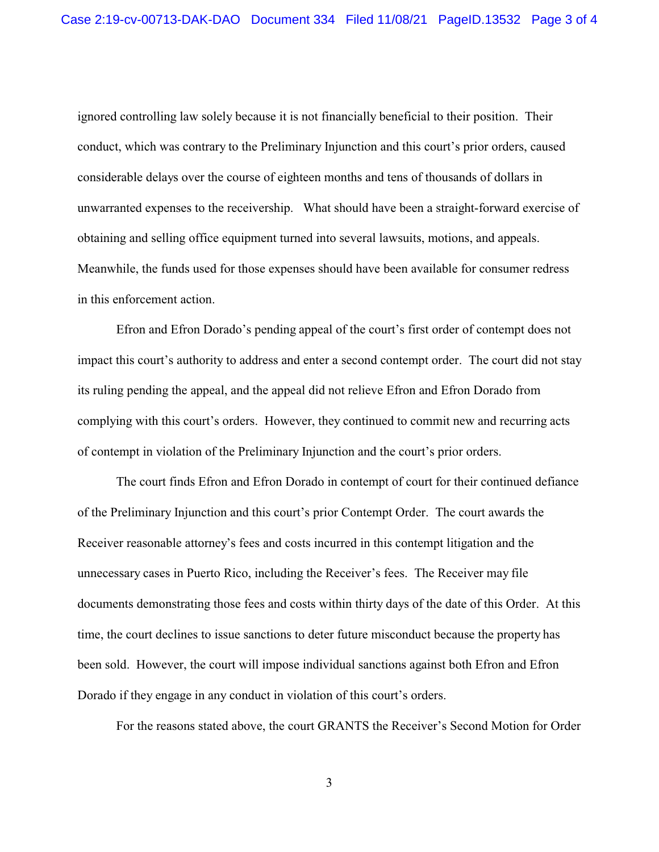ignored controlling law solely because it is not financially beneficial to their position. Their conduct, which was contrary to the Preliminary Injunction and this court's prior orders, caused considerable delays over the course of eighteen months and tens of thousands of dollars in unwarranted expenses to the receivership. What should have been a straight-forward exercise of obtaining and selling office equipment turned into several lawsuits, motions, and appeals. Meanwhile, the funds used for those expenses should have been available for consumer redress in this enforcement action.

Efron and Efron Dorado's pending appeal of the court's first order of contempt does not impact this court's authority to address and enter a second contempt order. The court did not stay its ruling pending the appeal, and the appeal did not relieve Efron and Efron Dorado from complying with this court's orders. However, they continued to commit new and recurring acts of contempt in violation of the Preliminary Injunction and the court's prior orders.

The court finds Efron and Efron Dorado in contempt of court for their continued defiance of the Preliminary Injunction and this court's prior Contempt Order. The court awards the Receiver reasonable attorney's fees and costs incurred in this contempt litigation and the unnecessary cases in Puerto Rico, including the Receiver's fees. The Receiver may file documents demonstrating those fees and costs within thirty days of the date of this Order. At this time, the court declines to issue sanctions to deter future misconduct because the property has been sold. However, the court will impose individual sanctions against both Efron and Efron Dorado if they engage in any conduct in violation of this court's orders.

For the reasons stated above, the court GRANTS the Receiver's Second Motion for Order